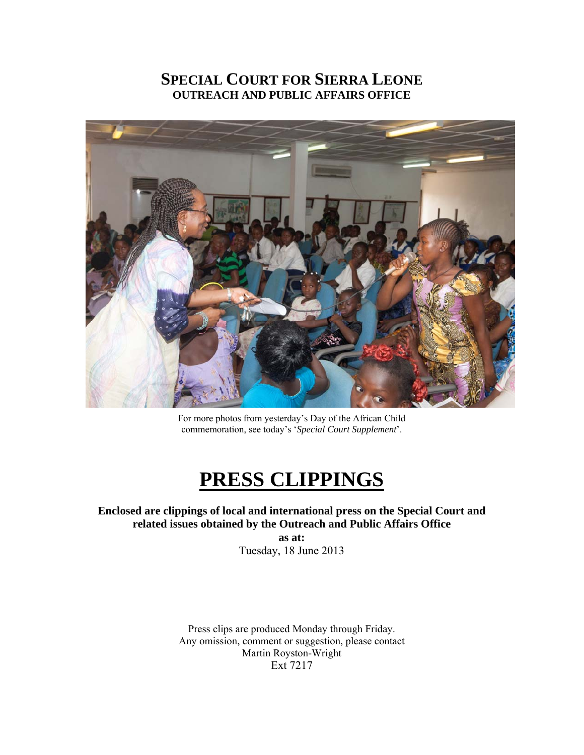### **SPECIAL COURT FOR SIERRA LEONE OUTREACH AND PUBLIC AFFAIRS OFFICE**



For more photos from yesterday's Day of the African Child commemoration, see today's '*Special Court Supplement*'.

# **PRESS CLIPPINGS**

### **Enclosed are clippings of local and international press on the Special Court and related issues obtained by the Outreach and Public Affairs Office**

**as at:**  Tuesday, 18 June 2013

Press clips are produced Monday through Friday. Any omission, comment or suggestion, please contact Martin Royston-Wright Ext 7217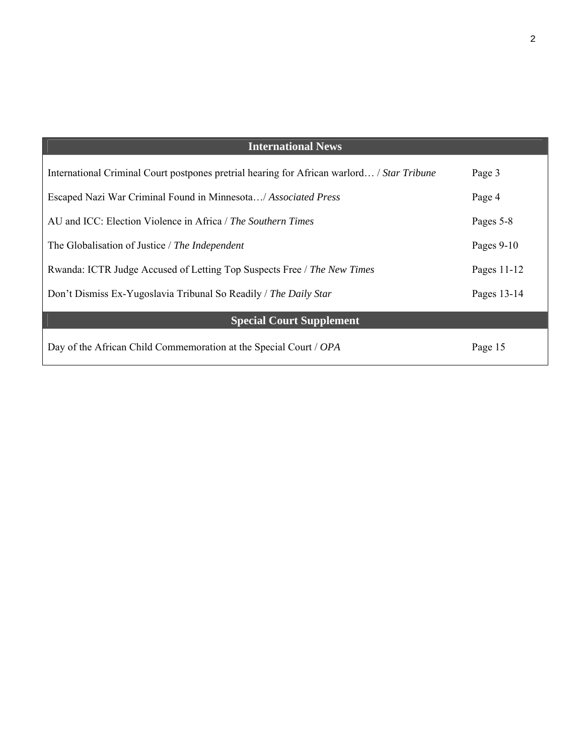| <b>International News</b>                                                                  |              |
|--------------------------------------------------------------------------------------------|--------------|
| International Criminal Court postpones pretrial hearing for African warlord / Star Tribune | Page 3       |
| Escaped Nazi War Criminal Found in Minnesota/ Associated Press                             | Page 4       |
| AU and ICC: Election Violence in Africa / The Southern Times                               | Pages 5-8    |
| The Globalisation of Justice / The Independent                                             | Pages $9-10$ |
| Rwanda: ICTR Judge Accused of Letting Top Suspects Free / The New Times                    | Pages 11-12  |
| Don't Dismiss Ex-Yugoslavia Tribunal So Readily / The Daily Star                           | Pages 13-14  |
| <b>Special Court Supplement</b>                                                            |              |
| Day of the African Child Commemoration at the Special Court / OPA                          | Page 15      |

 $\mathbf{I}$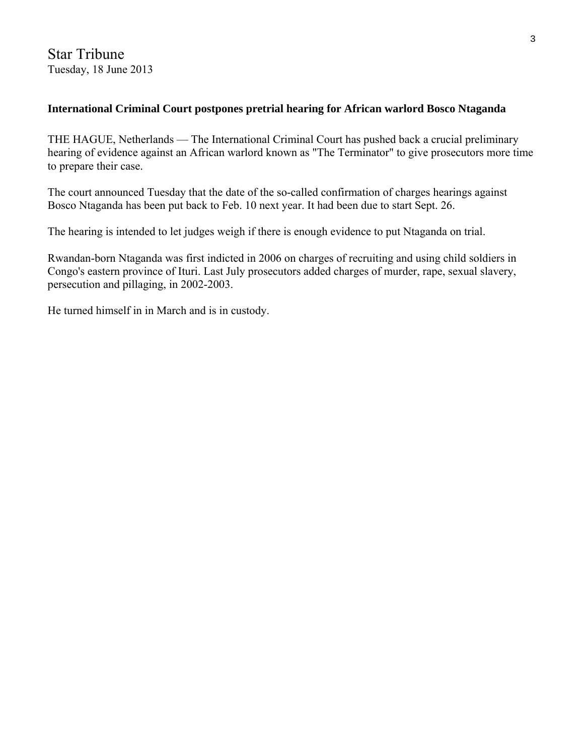Star Tribune Tuesday, 18 June 2013

### **International Criminal Court postpones pretrial hearing for African warlord Bosco Ntaganda**

THE HAGUE, Netherlands — The International Criminal Court has pushed back a crucial preliminary hearing of evidence against an African warlord known as "The Terminator" to give prosecutors more time to prepare their case.

The court announced Tuesday that the date of the so-called confirmation of charges hearings against Bosco Ntaganda has been put back to Feb. 10 next year. It had been due to start Sept. 26.

The hearing is intended to let judges weigh if there is enough evidence to put Ntaganda on trial.

Rwandan-born Ntaganda was first indicted in 2006 on charges of recruiting and using child soldiers in Congo's eastern province of Ituri. Last July prosecutors added charges of murder, rape, sexual slavery, persecution and pillaging, in 2002-2003.

He turned himself in in March and is in custody.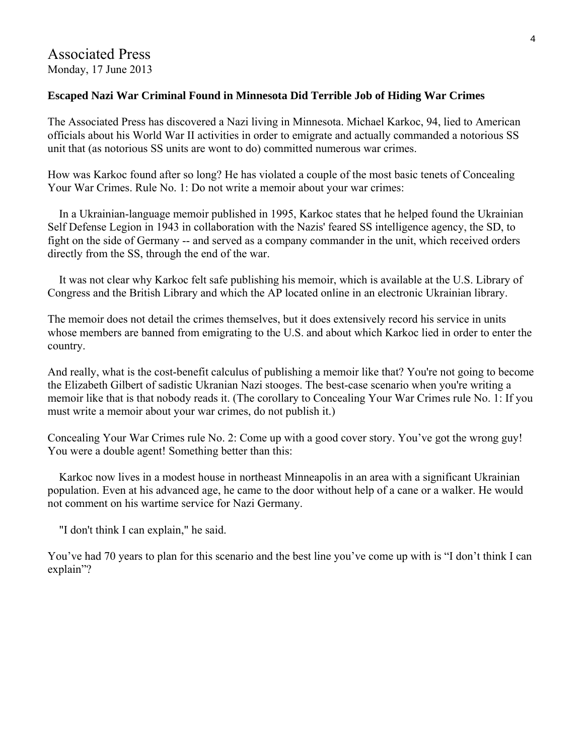### **Escaped Nazi War Criminal Found in Minnesota Did Terrible Job of Hiding War Crimes**

The Associated Press has discovered a Nazi living in Minnesota. Michael Karkoc, 94, lied to American officials about his World War II activities in order to emigrate and actually commanded a notorious SS unit that (as notorious SS units are wont to do) committed numerous war crimes.

How was Karkoc found after so long? He has violated a couple of the most basic tenets of Concealing Your War Crimes. Rule No. 1: Do not write a memoir about your war crimes:

 In a Ukrainian-language memoir published in 1995, Karkoc states that he helped found the Ukrainian Self Defense Legion in 1943 in collaboration with the Nazis' feared SS intelligence agency, the SD, to fight on the side of Germany -- and served as a company commander in the unit, which received orders directly from the SS, through the end of the war.

 It was not clear why Karkoc felt safe publishing his memoir, which is available at the U.S. Library of Congress and the British Library and which the AP located online in an electronic Ukrainian library.

The memoir does not detail the crimes themselves, but it does extensively record his service in units whose members are banned from emigrating to the U.S. and about which Karkoc lied in order to enter the country.

And really, what is the cost-benefit calculus of publishing a memoir like that? You're not going to become the Elizabeth Gilbert of sadistic Ukranian Nazi stooges. The best-case scenario when you're writing a memoir like that is that nobody reads it. (The corollary to Concealing Your War Crimes rule No. 1: If you must write a memoir about your war crimes, do not publish it.)

Concealing Your War Crimes rule No. 2: Come up with a good cover story. You've got the wrong guy! You were a double agent! Something better than this:

 Karkoc now lives in a modest house in northeast Minneapolis in an area with a significant Ukrainian population. Even at his advanced age, he came to the door without help of a cane or a walker. He would not comment on his wartime service for Nazi Germany.

"I don't think I can explain," he said.

You've had 70 years to plan for this scenario and the best line you've come up with is "I don't think I can explain"?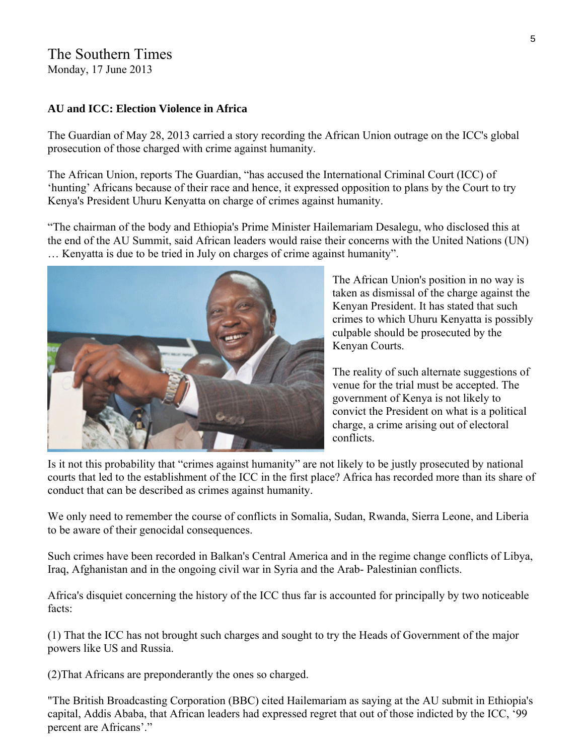### The Southern Times Monday, 17 June 2013

### **AU and ICC: Election Violence in Africa**

The Guardian of May 28, 2013 carried a story recording the African Union outrage on the ICC's global prosecution of those charged with crime against humanity.

The African Union, reports The Guardian, "has accused the International Criminal Court (ICC) of 'hunting' Africans because of their race and hence, it expressed opposition to plans by the Court to try Kenya's President Uhuru Kenyatta on charge of crimes against humanity.

"The chairman of the body and Ethiopia's Prime Minister Hailemariam Desalegu, who disclosed this at the end of the AU Summit, said African leaders would raise their concerns with the United Nations (UN) … Kenyatta is due to be tried in July on charges of crime against humanity".



The African Union's position in no way is taken as dismissal of the charge against the Kenyan President. It has stated that such crimes to which Uhuru Kenyatta is possibly culpable should be prosecuted by the Kenyan Courts.

The reality of such alternate suggestions of venue for the trial must be accepted. The government of Kenya is not likely to convict the President on what is a political charge, a crime arising out of electoral conflicts.

Is it not this probability that "crimes against humanity" are not likely to be justly prosecuted by national courts that led to the establishment of the ICC in the first place? Africa has recorded more than its share of conduct that can be described as crimes against humanity.

We only need to remember the course of conflicts in Somalia, Sudan, Rwanda, Sierra Leone, and Liberia to be aware of their genocidal consequences.

Such crimes have been recorded in Balkan's Central America and in the regime change conflicts of Libya, Iraq, Afghanistan and in the ongoing civil war in Syria and the Arab- Palestinian conflicts.

Africa's disquiet concerning the history of the ICC thus far is accounted for principally by two noticeable facts:

(1) That the ICC has not brought such charges and sought to try the Heads of Government of the major powers like US and Russia.

(2)That Africans are preponderantly the ones so charged.

"The British Broadcasting Corporation (BBC) cited Hailemariam as saying at the AU submit in Ethiopia's capital, Addis Ababa, that African leaders had expressed regret that out of those indicted by the ICC, '99 percent are Africans'."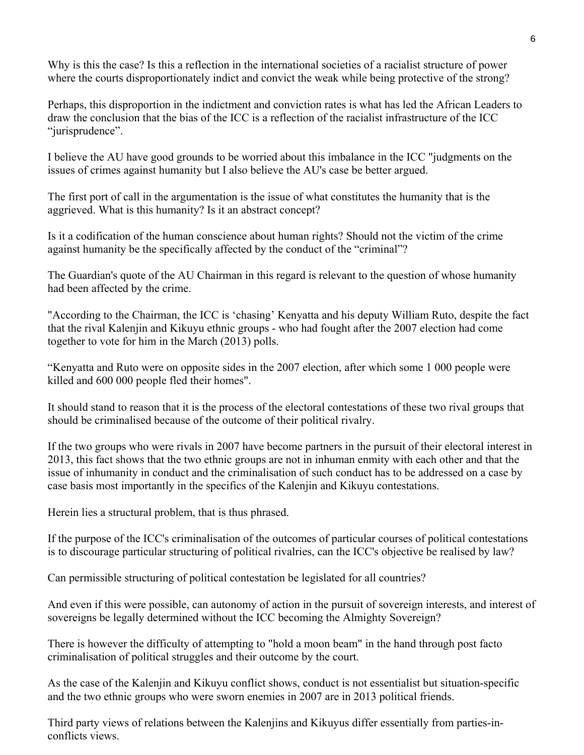Why is this the case? Is this a reflection in the international societies of a racialist structure of power where the courts disproportionately indict and convict the weak while being protective of the strong?

Perhaps, this disproportion in the indictment and conviction rates is what has led the African Leaders to draw the conclusion that the bias of the ICC is a reflection of the racialist infrastructure of the ICC "jurisprudence".

I believe the AU have good grounds to be worried about this imbalance in the ICC "judgments on the issues of crimes against humanity but I also believe the AU's case be better argued.

The first port of call in the argumentation is the issue of what constitutes the humanity that is the aggrieved. What is this humanity? Is it an abstract concept?

Is it a codification of the human conscience about human rights? Should not the victim of the crime against humanity be the specifically affected by the conduct of the "criminal"?

The Guardian's quote of the AU Chairman in this regard is relevant to the question of whose humanity had been affected by the crime.

"According to the Chairman, the ICC is 'chasing' Kenyatta and his deputy William Ruto, despite the fact that the rival Kalenjin and Kikuyu ethnic groups - who had fought after the 2007 election had come together to vote for him in the March (2013) polls.

"Kenyatta and Ruto were on opposite sides in the 2007 election, after which some 1 000 people were killed and 600 000 people fled their homes".

It should stand to reason that it is the process of the electoral contestations of these two rival groups that should be criminalised because of the outcome of their political rivalry.

If the two groups who were rivals in 2007 have become partners in the pursuit of their electoral interest in 2013, this fact shows that the two ethnic groups are not in inhuman enmity with each other and that the issue of inhumanity in conduct and the criminalisation of such conduct has to be addressed on a case by case basis most importantly in the specifics of the Kalenjin and Kikuyu contestations.

Herein lies a structural problem, that is thus phrased.

If the purpose of the ICC's criminalisation of the outcomes of particular courses of political contestations is to discourage particular structuring of political rivalries, can the ICC's objective be realised by law?

Can permissible structuring of political contestation be legislated for all countries?

And even if this were possible, can autonomy of action in the pursuit of sovereign interests, and interest of sovereigns be legally determined without the ICC becoming the Almighty Sovereign?

There is however the difficulty of attempting to "hold a moon beam" in the hand through post facto criminalisation of political struggles and their outcome by the court.

As the case of the Kalenjin and Kikuyu conflict shows, conduct is not essentialist but situation-specific and the two ethnic groups who were sworn enemies in 2007 are in 2013 political friends.

Third party views of relations between the Kalenjins and Kikuyus differ essentially from parties-inconflicts views.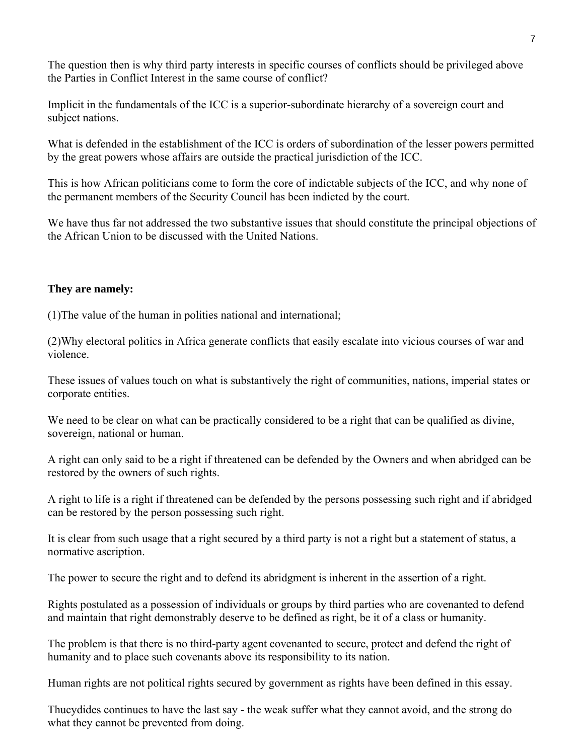The question then is why third party interests in specific courses of conflicts should be privileged above the Parties in Conflict Interest in the same course of conflict?

Implicit in the fundamentals of the ICC is a superior-subordinate hierarchy of a sovereign court and subject nations.

What is defended in the establishment of the ICC is orders of subordination of the lesser powers permitted by the great powers whose affairs are outside the practical jurisdiction of the ICC.

This is how African politicians come to form the core of indictable subjects of the ICC, and why none of the permanent members of the Security Council has been indicted by the court.

We have thus far not addressed the two substantive issues that should constitute the principal objections of the African Union to be discussed with the United Nations.

### **They are namely:**

(1)The value of the human in polities national and international;

(2)Why electoral politics in Africa generate conflicts that easily escalate into vicious courses of war and violence.

These issues of values touch on what is substantively the right of communities, nations, imperial states or corporate entities.

We need to be clear on what can be practically considered to be a right that can be qualified as divine, sovereign, national or human.

A right can only said to be a right if threatened can be defended by the Owners and when abridged can be restored by the owners of such rights.

A right to life is a right if threatened can be defended by the persons possessing such right and if abridged can be restored by the person possessing such right.

It is clear from such usage that a right secured by a third party is not a right but a statement of status, a normative ascription.

The power to secure the right and to defend its abridgment is inherent in the assertion of a right.

Rights postulated as a possession of individuals or groups by third parties who are covenanted to defend and maintain that right demonstrably deserve to be defined as right, be it of a class or humanity.

The problem is that there is no third-party agent covenanted to secure, protect and defend the right of humanity and to place such covenants above its responsibility to its nation.

Human rights are not political rights secured by government as rights have been defined in this essay.

Thucydides continues to have the last say - the weak suffer what they cannot avoid, and the strong do what they cannot be prevented from doing.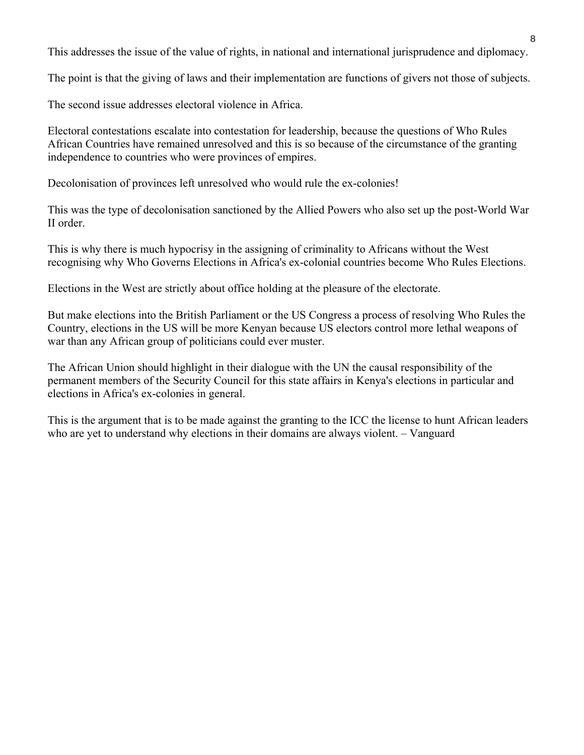This addresses the issue of the value of rights, in national and international jurisprudence and diplomacy.

The point is that the giving of laws and their implementation are functions of givers not those of subjects.

The second issue addresses electoral violence in Africa.

Electoral contestations escalate into contestation for leadership, because the questions of Who Rules African Countries have remained unresolved and this is so because of the circumstance of the granting independence to countries who were provinces of empires.

Decolonisation of provinces left unresolved who would rule the ex-colonies!

This was the type of decolonisation sanctioned by the Allied Powers who also set up the post-World War II order.

This is why there is much hypocrisy in the assigning of criminality to Africans without the West recognising why Who Governs Elections in Africa's ex-colonial countries become Who Rules Elections.

Elections in the West are strictly about office holding at the pleasure of the electorate.

But make elections into the British Parliament or the US Congress a process of resolving Who Rules the Country, elections in the US will be more Kenyan because US electors control more lethal weapons of war than any African group of politicians could ever muster.

The African Union should highlight in their dialogue with the UN the causal responsibility of the permanent members of the Security Council for this state affairs in Kenya's elections in particular and elections in Africa's ex-colonies in general.

This is the argument that is to be made against the granting to the ICC the license to hunt African leaders who are yet to understand why elections in their domains are always violent. – Vanguard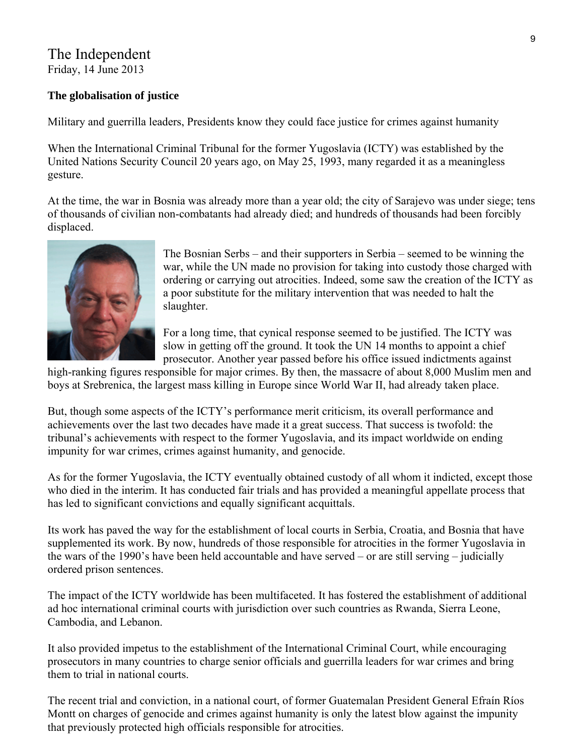## The Independent

Friday, 14 June 2013

### **The globalisation of justice**

Military and guerrilla leaders, Presidents know they could face justice for crimes against humanity

When the International Criminal Tribunal for the former Yugoslavia (ICTY) was established by the United Nations Security Council 20 years ago, on May 25, 1993, many regarded it as a meaningless gesture.

At the time, the war in Bosnia was already more than a year old; the city of Sarajevo was under siege; tens of thousands of civilian non-combatants had already died; and hundreds of thousands had been forcibly displaced.



The Bosnian Serbs – and their supporters in Serbia – seemed to be winning the war, while the UN made no provision for taking into custody those charged with ordering or carrying out atrocities. Indeed, some saw the creation of the ICTY as a poor substitute for the military intervention that was needed to halt the slaughter.

For a long time, that cynical response seemed to be justified. The ICTY was slow in getting off the ground. It took the UN 14 months to appoint a chief prosecutor. Another year passed before his office issued indictments against

high-ranking figures responsible for major crimes. By then, the massacre of about 8,000 Muslim men and boys at Srebrenica, the largest mass killing in Europe since World War II, had already taken place.

But, though some aspects of the ICTY's performance merit criticism, its overall performance and achievements over the last two decades have made it a great success. That success is twofold: the tribunal's achievements with respect to the former Yugoslavia, and its impact worldwide on ending impunity for war crimes, crimes against humanity, and genocide.

As for the former Yugoslavia, the ICTY eventually obtained custody of all whom it indicted, except those who died in the interim. It has conducted fair trials and has provided a meaningful appellate process that has led to significant convictions and equally significant acquittals.

Its work has paved the way for the establishment of local courts in Serbia, Croatia, and Bosnia that have supplemented its work. By now, hundreds of those responsible for atrocities in the former Yugoslavia in the wars of the 1990's have been held accountable and have served – or are still serving – judicially ordered prison sentences.

The impact of the ICTY worldwide has been multifaceted. It has fostered the establishment of additional ad hoc international criminal courts with jurisdiction over such countries as Rwanda, Sierra Leone, Cambodia, and Lebanon.

It also provided impetus to the establishment of the International Criminal Court, while encouraging prosecutors in many countries to charge senior officials and guerrilla leaders for war crimes and bring them to trial in national courts.

The recent trial and conviction, in a national court, of former Guatemalan President General Efraín Ríos Montt on charges of genocide and crimes against humanity is only the latest blow against the impunity that previously protected high officials responsible for atrocities.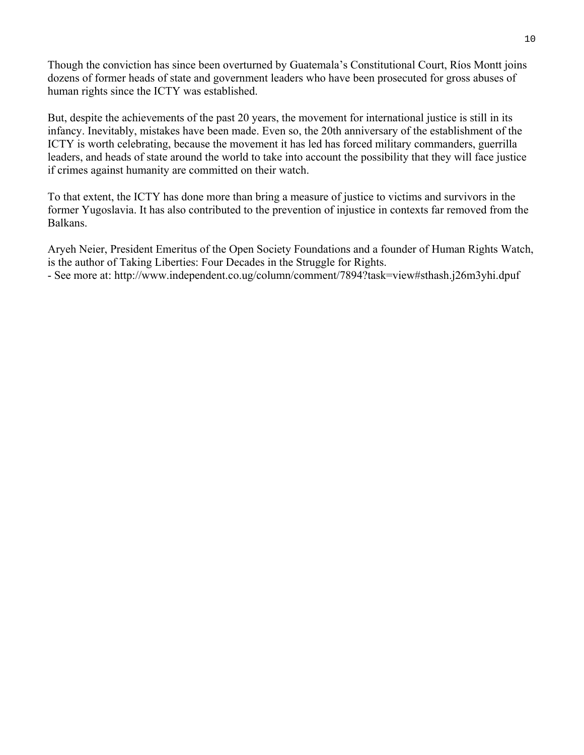Though the conviction has since been overturned by Guatemala's Constitutional Court, Ríos Montt joins dozens of former heads of state and government leaders who have been prosecuted for gross abuses of human rights since the ICTY was established.

But, despite the achievements of the past 20 years, the movement for international justice is still in its infancy. Inevitably, mistakes have been made. Even so, the 20th anniversary of the establishment of the ICTY is worth celebrating, because the movement it has led has forced military commanders, guerrilla leaders, and heads of state around the world to take into account the possibility that they will face justice if crimes against humanity are committed on their watch.

To that extent, the ICTY has done more than bring a measure of justice to victims and survivors in the former Yugoslavia. It has also contributed to the prevention of injustice in contexts far removed from the Balkans.

Aryeh Neier, President Emeritus of the Open Society Foundations and a founder of Human Rights Watch, is the author of Taking Liberties: Four Decades in the Struggle for Rights.

- See more at: http://www.independent.co.ug/column/comment/7894?task=view#sthash.j26m3yhi.dpuf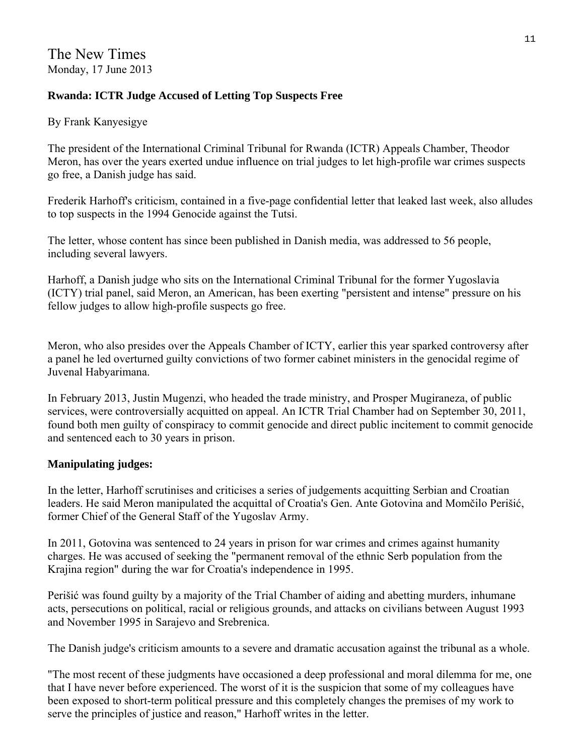### **Rwanda: ICTR Judge Accused of Letting Top Suspects Free**

By Frank Kanyesigye

The president of the International Criminal Tribunal for Rwanda (ICTR) Appeals Chamber, Theodor Meron, has over the years exerted undue influence on trial judges to let high-profile war crimes suspects go free, a Danish judge has said.

Frederik Harhoff's criticism, contained in a five-page confidential letter that leaked last week, also alludes to top suspects in the 1994 Genocide against the Tutsi.

The letter, whose content has since been published in Danish media, was addressed to 56 people, including several lawyers.

Harhoff, a Danish judge who sits on the International Criminal Tribunal for the former Yugoslavia (ICTY) trial panel, said Meron, an American, has been exerting "persistent and intense" pressure on his fellow judges to allow high-profile suspects go free.

Meron, who also presides over the Appeals Chamber of ICTY, earlier this year sparked controversy after a panel he led overturned guilty convictions of two former cabinet ministers in the genocidal regime of Juvenal Habyarimana.

In February 2013, Justin Mugenzi, who headed the trade ministry, and Prosper Mugiraneza, of public services, were controversially acquitted on appeal. An ICTR Trial Chamber had on September 30, 2011, found both men guilty of conspiracy to commit genocide and direct public incitement to commit genocide and sentenced each to 30 years in prison.

### **Manipulating judges:**

In the letter, Harhoff scrutinises and criticises a series of judgements acquitting Serbian and Croatian leaders. He said Meron manipulated the acquittal of Croatia's Gen. Ante Gotovina and Momčilo Perišić, former Chief of the General Staff of the Yugoslav Army.

In 2011, Gotovina was sentenced to 24 years in prison for war crimes and crimes against humanity charges. He was accused of seeking the "permanent removal of the ethnic Serb population from the Krajina region" during the war for Croatia's independence in 1995.

Perišić was found guilty by a majority of the Trial Chamber of aiding and abetting murders, inhumane acts, persecutions on political, racial or religious grounds, and attacks on civilians between August 1993 and November 1995 in Sarajevo and Srebrenica.

The Danish judge's criticism amounts to a severe and dramatic accusation against the tribunal as a whole.

"The most recent of these judgments have occasioned a deep professional and moral dilemma for me, one that I have never before experienced. The worst of it is the suspicion that some of my colleagues have been exposed to short-term political pressure and this completely changes the premises of my work to serve the principles of justice and reason," Harhoff writes in the letter.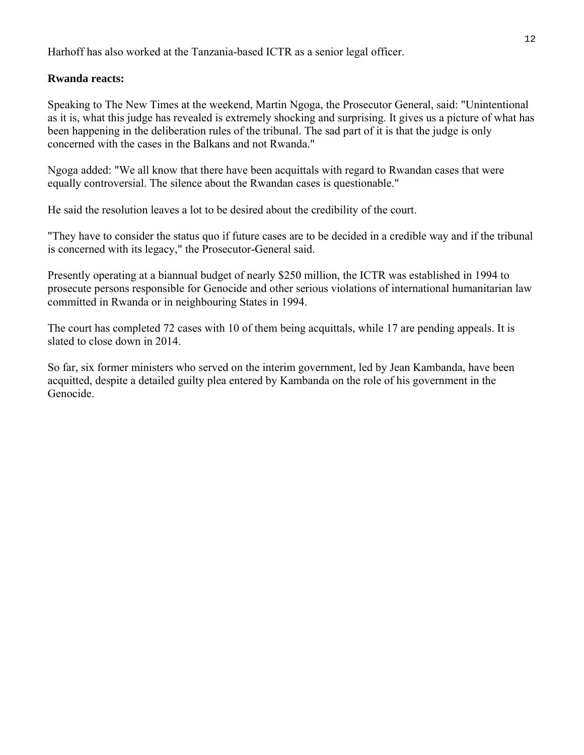Harhoff has also worked at the Tanzania-based ICTR as a senior legal officer.

### **Rwanda reacts:**

Speaking to The New Times at the weekend, Martin Ngoga, the Prosecutor General, said: "Unintentional as it is, what this judge has revealed is extremely shocking and surprising. It gives us a picture of what has been happening in the deliberation rules of the tribunal. The sad part of it is that the judge is only concerned with the cases in the Balkans and not Rwanda."

Ngoga added: "We all know that there have been acquittals with regard to Rwandan cases that were equally controversial. The silence about the Rwandan cases is questionable."

He said the resolution leaves a lot to be desired about the credibility of the court.

"They have to consider the status quo if future cases are to be decided in a credible way and if the tribunal is concerned with its legacy," the Prosecutor-General said.

Presently operating at a biannual budget of nearly \$250 million, the ICTR was established in 1994 to prosecute persons responsible for Genocide and other serious violations of international humanitarian law committed in Rwanda or in neighbouring States in 1994.

The court has completed 72 cases with 10 of them being acquittals, while 17 are pending appeals. It is slated to close down in 2014.

So far, six former ministers who served on the interim government, led by Jean Kambanda, have been acquitted, despite a detailed guilty plea entered by Kambanda on the role of his government in the Genocide.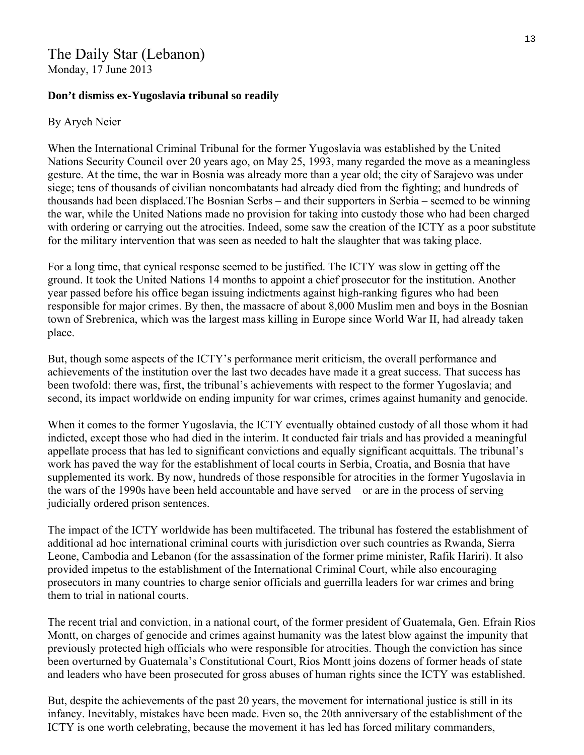# The Daily Star (Lebanon)

Monday, 17 June 2013

### **Don't dismiss ex-Yugoslavia tribunal so readily**

### By Aryeh Neier

When the International Criminal Tribunal for the former Yugoslavia was established by the United Nations Security Council over 20 years ago, on May 25, 1993, many regarded the move as a meaningless gesture. At the time, the war in Bosnia was already more than a year old; the city of Sarajevo was under siege; tens of thousands of civilian noncombatants had already died from the fighting; and hundreds of thousands had been displaced.The Bosnian Serbs – and their supporters in Serbia – seemed to be winning the war, while the United Nations made no provision for taking into custody those who had been charged with ordering or carrying out the atrocities. Indeed, some saw the creation of the ICTY as a poor substitute for the military intervention that was seen as needed to halt the slaughter that was taking place.

For a long time, that cynical response seemed to be justified. The ICTY was slow in getting off the ground. It took the United Nations 14 months to appoint a chief prosecutor for the institution. Another year passed before his office began issuing indictments against high-ranking figures who had been responsible for major crimes. By then, the massacre of about 8,000 Muslim men and boys in the Bosnian town of Srebrenica, which was the largest mass killing in Europe since World War II, had already taken place.

But, though some aspects of the ICTY's performance merit criticism, the overall performance and achievements of the institution over the last two decades have made it a great success. That success has been twofold: there was, first, the tribunal's achievements with respect to the former Yugoslavia; and second, its impact worldwide on ending impunity for war crimes, crimes against humanity and genocide.

When it comes to the former Yugoslavia, the ICTY eventually obtained custody of all those whom it had indicted, except those who had died in the interim. It conducted fair trials and has provided a meaningful appellate process that has led to significant convictions and equally significant acquittals. The tribunal's work has paved the way for the establishment of local courts in Serbia, Croatia, and Bosnia that have supplemented its work. By now, hundreds of those responsible for atrocities in the former Yugoslavia in the wars of the 1990s have been held accountable and have served – or are in the process of serving – judicially ordered prison sentences.

The impact of the ICTY worldwide has been multifaceted. The tribunal has fostered the establishment of additional ad hoc international criminal courts with jurisdiction over such countries as Rwanda, Sierra Leone, Cambodia and Lebanon (for the assassination of the former prime minister, Rafik Hariri). It also provided impetus to the establishment of the International Criminal Court, while also encouraging prosecutors in many countries to charge senior officials and guerrilla leaders for war crimes and bring them to trial in national courts.

The recent trial and conviction, in a national court, of the former president of Guatemala, Gen. Efrain Rios Montt, on charges of genocide and crimes against humanity was the latest blow against the impunity that previously protected high officials who were responsible for atrocities. Though the conviction has since been overturned by Guatemala's Constitutional Court, Rios Montt joins dozens of former heads of state and leaders who have been prosecuted for gross abuses of human rights since the ICTY was established.

But, despite the achievements of the past 20 years, the movement for international justice is still in its infancy. Inevitably, mistakes have been made. Even so, the 20th anniversary of the establishment of the ICTY is one worth celebrating, because the movement it has led has forced military commanders,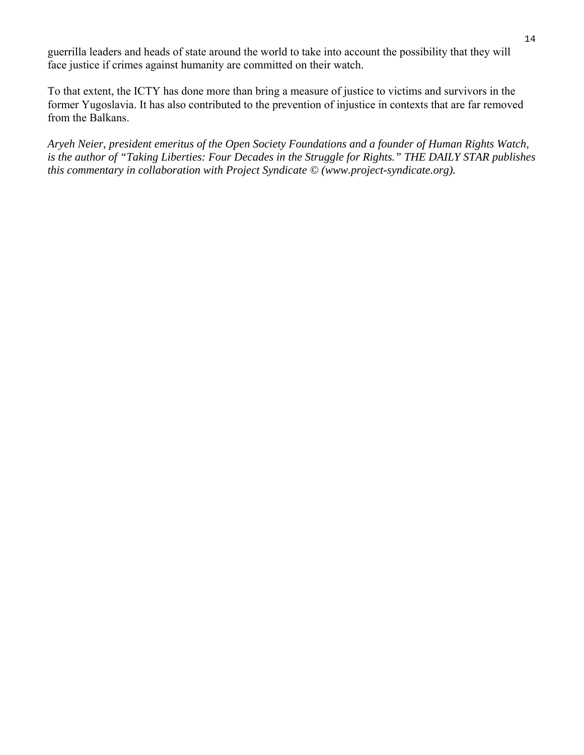guerrilla leaders and heads of state around the world to take into account the possibility that they will face justice if crimes against humanity are committed on their watch.

To that extent, the ICTY has done more than bring a measure of justice to victims and survivors in the former Yugoslavia. It has also contributed to the prevention of injustice in contexts that are far removed from the Balkans.

*Aryeh Neier, president emeritus of the Open Society Foundations and a founder of Human Rights Watch, is the author of "Taking Liberties: Four Decades in the Struggle for Rights." THE DAILY STAR publishes this commentary in collaboration with Project Syndicate © (www.project-syndicate.org).*